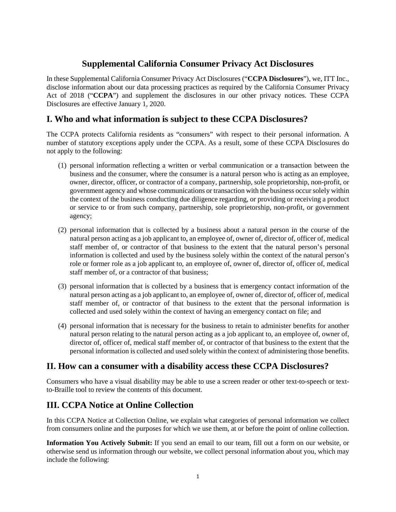# **Supplemental California Consumer Privacy Act Disclosures**

In these Supplemental California Consumer Privacy Act Disclosures ("**CCPA Disclosures**"), we, ITT Inc., disclose information about our data processing practices as required by the California Consumer Privacy Act of 2018 ("**CCPA**") and supplement the disclosures in our other privacy notices. These CCPA Disclosures are effective January 1, 2020.

## **I. Who and what information is subject to these CCPA Disclosures?**

The CCPA protects California residents as "consumers" with respect to their personal information. A number of statutory exceptions apply under the CCPA. As a result, some of these CCPA Disclosures do not apply to the following:

- (1) personal information reflecting a written or verbal communication or a transaction between the business and the consumer, where the consumer is a natural person who is acting as an employee, owner, director, officer, or contractor of a company, partnership, sole proprietorship, non-profit, or government agency and whose communications or transaction with the business occur solely within the context of the business conducting due diligence regarding, or providing or receiving a product or service to or from such company, partnership, sole proprietorship, non-profit, or government agency;
- (2) personal information that is collected by a business about a natural person in the course of the natural person acting as a job applicant to, an employee of, owner of, director of, officer of, medical staff member of, or contractor of that business to the extent that the natural person's personal information is collected and used by the business solely within the context of the natural person's role or former role as a job applicant to, an employee of, owner of, director of, officer of, medical staff member of, or a contractor of that business;
- (3) personal information that is collected by a business that is emergency contact information of the natural person acting as a job applicant to, an employee of, owner of, director of, officer of, medical staff member of, or contractor of that business to the extent that the personal information is collected and used solely within the context of having an emergency contact on file; and
- (4) personal information that is necessary for the business to retain to administer benefits for another natural person relating to the natural person acting as a job applicant to, an employee of, owner of, director of, officer of, medical staff member of, or contractor of that business to the extent that the personal information is collected and used solely within the context of administering those benefits.

## **II. How can a consumer with a disability access these CCPA Disclosures?**

Consumers who have a visual disability may be able to use a screen reader or other text-to-speech or textto-Braille tool to review the contents of this document.

# **III. CCPA Notice at Online Collection**

In this CCPA Notice at Collection Online, we explain what categories of personal information we collect from consumers online and the purposes for which we use them, at or before the point of online collection.

**Information You Actively Submit:** If you send an email to our team, fill out a form on our website, or otherwise send us information through our website, we collect personal information about you, which may include the following: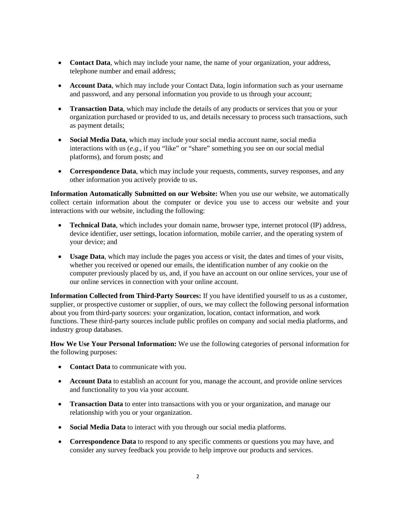- **Contact Data**, which may include your name, the name of your organization, your address, telephone number and email address;
- **Account Data**, which may include your Contact Data, login information such as your username and password, and any personal information you provide to us through your account;
- **Transaction Data**, which may include the details of any products or services that you or your organization purchased or provided to us, and details necessary to process such transactions, such as payment details;
- **Social Media Data**, which may include your social media account name, social media interactions with us (e.g., if you "like" or "share" something you see on our social medial platforms), and forum posts; and
- **Correspondence Data**, which may include your requests, comments, survey responses, and any other information you actively provide to us.

**Information Automatically Submitted on our Website:** When you use our website, we automatically collect certain information about the computer or device you use to access our website and your interactions with our website, including the following:

- **Technical Data**, which includes your domain name, browser type, internet protocol (IP) address, device identifier, user settings, location information, mobile carrier, and the operating system of your device; and
- **Usage Data**, which may include the pages you access or visit, the dates and times of your visits, whether you received or opened our emails, the identification number of any cookie on the computer previously placed by us, and, if you have an account on our online services, your use of our online services in connection with your online account.

**Information Collected from Third-Party Sources:** If you have identified yourself to us as a customer, supplier, or prospective customer or supplier, of ours, we may collect the following personal information about you from third-party sources: your organization, location, contact information, and work functions. These third-party sources include public profiles on company and social media platforms, and industry group databases.

**How We Use Your Personal Information:** We use the following categories of personal information for the following purposes:

- **Contact Data** to communicate with you.
- **Account Data** to establish an account for you, manage the account, and provide online services and functionality to you via your account.
- **Transaction Data** to enter into transactions with you or your organization, and manage our relationship with you or your organization.
- **Social Media Data** to interact with you through our social media platforms.
- **Correspondence Data** to respond to any specific comments or questions you may have, and consider any survey feedback you provide to help improve our products and services.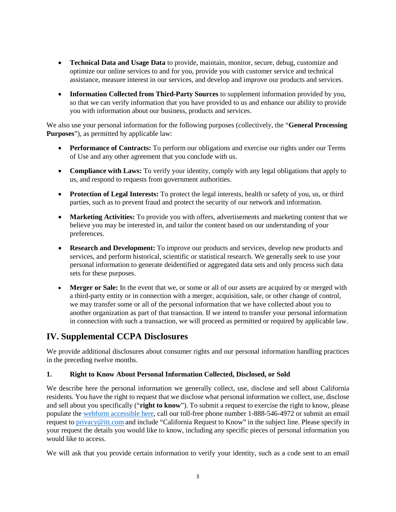- **Technical Data and Usage Data** to provide, maintain, monitor, secure, debug, customize and optimize our online services to and for you, provide you with customer service and technical assistance, measure interest in our services, and develop and improve our products and services.
- **Information Collected from Third-Party Sources** to supplement information provided by you, so that we can verify information that you have provided to us and enhance our ability to provide you with information about our business, products and services.

We also use your personal information for the following purposes (collectively, the "**General Processing Purposes**"), as permitted by applicable law:

- **Performance of Contracts:** To perform our obligations and exercise our rights under our Terms of Use and any other agreement that you conclude with us.
- **Compliance with Laws:** To verify your identity, comply with any legal obligations that apply to us, and respond to requests from government authorities.
- **Protection of Legal Interests:** To protect the legal interests, health or safety of you, us, or third parties, such as to prevent fraud and protect the security of our network and information.
- **Marketing Activities:** To provide you with offers, advertisements and marketing content that we believe you may be interested in, and tailor the content based on our understanding of your preferences.
- **Research and Development:** To improve our products and services, develop new products and services, and perform historical, scientific or statistical research. We generally seek to use your personal information to generate deidentified or aggregated data sets and only process such data sets for these purposes.
- **Merger or Sale:** In the event that we, or some or all of our assets are acquired by or merged with a third-party entity or in connection with a merger, acquisition, sale, or other change of control, we may transfer some or all of the personal information that we have collected about you to another organization as part of that transaction. If we intend to transfer your personal information in connection with such a transaction, we will proceed as permitted or required by applicable law.

## **IV. Supplemental CCPA Disclosures**

We provide additional disclosures about consumer rights and our personal information handling practices in the preceding twelve months.

## **1. Right to Know About Personal Information Collected, Disclosed, or Sold**

We describe here the personal information we generally collect, use, disclose and sell about California residents. You have the right to request that we disclose what personal information we collect, use, disclose and sell about you specifically ("**right to know**"). To submit a request to exercise the right to know, please populate the [webform accessible here,](http://www.itt.com/privacy/ccpa-request-form) call our toll-free phone number 1-888-546-4972 or submit an email request to [privacy@itt.com](mailto:privacy@itt.com) and include "California Request to Know" in the subject line. Please specify in your request the details you would like to know, including any specific pieces of personal information you would like to access.

We will ask that you provide certain information to verify your identity, such as a code sent to an email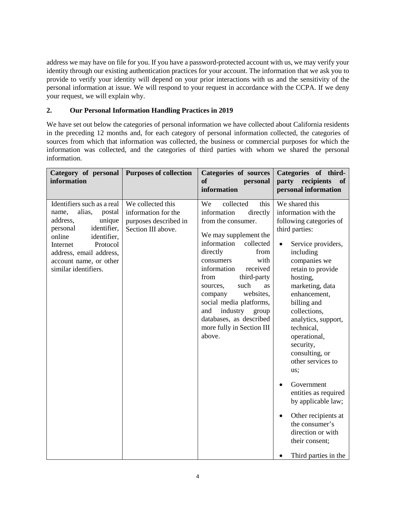address we may have on file for you. If you have a password-protected account with us, we may verify your identity through our existing authentication practices for your account. The information that we ask you to provide to verify your identity will depend on your prior interactions with us and the sensitivity of the personal information at issue. We will respond to your request in accordance with the CCPA. If we deny your request, we will explain why.

## **2. Our Personal Information Handling Practices in 2019**

We have set out below the categories of personal information we have collected about California residents in the preceding 12 months and, for each category of personal information collected, the categories of sources from which that information was collected, the business or commercial purposes for which the information was collected, and the categories of third parties with whom we shared the personal information.

| Category of personal<br>information                                                                                                                                                                                                    | <b>Purposes of collection</b>                                                           | <b>Categories of sources</b><br>of<br>personal<br>information                                                                                                                                                                                                                                                                                                                                              | Categories of third-<br>party recipients<br><b>of</b><br>personal information                                                                                                                                                                                                                                                                                                                                                                                                                                                                                        |
|----------------------------------------------------------------------------------------------------------------------------------------------------------------------------------------------------------------------------------------|-----------------------------------------------------------------------------------------|------------------------------------------------------------------------------------------------------------------------------------------------------------------------------------------------------------------------------------------------------------------------------------------------------------------------------------------------------------------------------------------------------------|----------------------------------------------------------------------------------------------------------------------------------------------------------------------------------------------------------------------------------------------------------------------------------------------------------------------------------------------------------------------------------------------------------------------------------------------------------------------------------------------------------------------------------------------------------------------|
| Identifiers such as a real<br>alias,<br>postal<br>name,<br>address,<br>unique<br>identifier,<br>personal<br>identifier,<br>online<br>Protocol<br>Internet<br>address, email address,<br>account name, or other<br>similar identifiers. | We collected this<br>information for the<br>purposes described in<br>Section III above. | collected<br>We<br>this<br>information<br>directly<br>from the consumer.<br>We may supplement the<br>information<br>collected<br>directly<br>from<br>with<br>consumers<br>information<br>received<br>from<br>third-party<br>such<br>sources,<br><b>as</b><br>websites,<br>company<br>social media platforms,<br>industry<br>and<br>group<br>databases, as described<br>more fully in Section III<br>above. | We shared this<br>information with the<br>following categories of<br>third parties:<br>Service providers,<br>$\bullet$<br>including<br>companies we<br>retain to provide<br>hosting,<br>marketing, data<br>enhancement,<br>billing and<br>collections,<br>analytics, support,<br>technical,<br>operational,<br>security,<br>consulting, or<br>other services to<br>us;<br>Government<br>entities as required<br>by applicable law;<br>Other recipients at<br>$\bullet$<br>the consumer's<br>direction or with<br>their consent;<br>Third parties in the<br>$\bullet$ |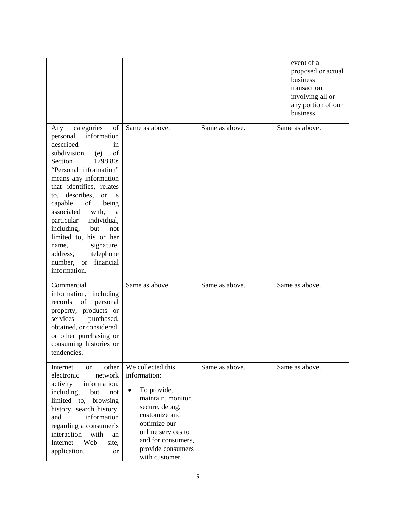|                                                                                                                                                                                                                                                                                                                                                                                                                                                                           |                                                                                                                                                                                                                          |                | event of a<br>proposed or actual<br>business<br>transaction<br>involving all or<br>any portion of our<br>business. |
|---------------------------------------------------------------------------------------------------------------------------------------------------------------------------------------------------------------------------------------------------------------------------------------------------------------------------------------------------------------------------------------------------------------------------------------------------------------------------|--------------------------------------------------------------------------------------------------------------------------------------------------------------------------------------------------------------------------|----------------|--------------------------------------------------------------------------------------------------------------------|
| categories<br>of<br>Any<br>information<br>personal<br>described<br>in<br>subdivision<br>of<br>(e)<br>1798.80:<br>Section<br>"Personal information"<br>means any information<br>that identifies, relates<br>describes,<br>or is<br>to,<br>of<br>capable<br>being<br>associated<br>with,<br>a<br>particular<br>individual,<br>including,<br>but<br>not<br>limited to, his or her<br>signature,<br>name,<br>telephone<br>address,<br>or financial<br>number,<br>information. | Same as above.                                                                                                                                                                                                           | Same as above. | Same as above.                                                                                                     |
| Commercial<br>information, including<br>records<br>of<br>personal<br>property, products or<br>purchased,<br>services<br>obtained, or considered,<br>or other purchasing or<br>consuming histories or<br>tendencies.                                                                                                                                                                                                                                                       | Same as above.                                                                                                                                                                                                           | Same as above. | Same as above.                                                                                                     |
| other<br>Internet<br><sub>or</sub><br>electronic<br>network<br>activity<br>information,<br>including,<br>but<br>not<br>limited to,<br>browsing<br>history, search history,<br>information<br>and<br>regarding a consumer's<br>interaction<br>with<br>an<br>Internet<br>Web<br>site,<br>application,<br><b>or</b>                                                                                                                                                          | We collected this<br>information:<br>To provide,<br>$\bullet$<br>maintain, monitor,<br>secure, debug,<br>customize and<br>optimize our<br>online services to<br>and for consumers,<br>provide consumers<br>with customer | Same as above. | Same as above.                                                                                                     |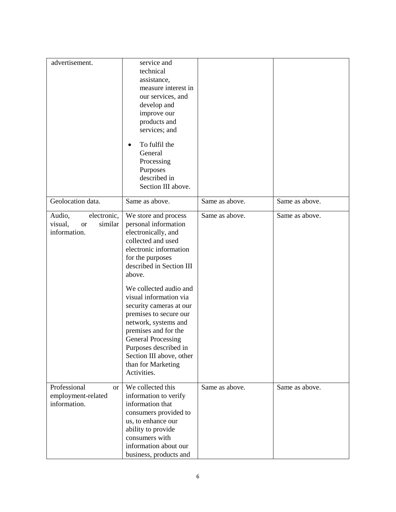| advertisement.                                                           | service and<br>technical<br>assistance,<br>measure interest in<br>our services, and<br>develop and<br>improve our<br>products and<br>services; and<br>To fulfil the<br>$\bullet$<br>General<br>Processing<br>Purposes<br>described in<br>Section III above.                                                                                                                                                                                                   |                |                |
|--------------------------------------------------------------------------|---------------------------------------------------------------------------------------------------------------------------------------------------------------------------------------------------------------------------------------------------------------------------------------------------------------------------------------------------------------------------------------------------------------------------------------------------------------|----------------|----------------|
| Geolocation data.                                                        | Same as above.                                                                                                                                                                                                                                                                                                                                                                                                                                                | Same as above. | Same as above. |
| electronic,<br>Audio,<br>similar<br>visual,<br><b>or</b><br>information. | We store and process<br>personal information<br>electronically, and<br>collected and used<br>electronic information<br>for the purposes<br>described in Section III<br>above.<br>We collected audio and<br>visual information via<br>security cameras at our<br>premises to secure our<br>network, systems and<br>premises and for the<br><b>General Processing</b><br>Purposes described in<br>Section III above, other<br>than for Marketing<br>Activities. | Same as above. | Same as above. |
| Professional<br><sub>or</sub><br>employment-related<br>information.      | We collected this<br>information to verify<br>information that<br>consumers provided to<br>us, to enhance our<br>ability to provide<br>consumers with<br>information about our<br>business, products and                                                                                                                                                                                                                                                      | Same as above. | Same as above. |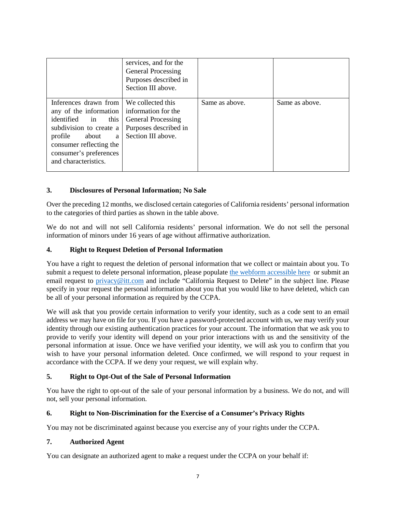|                                                                                                                                                                                                                    | services, and for the<br>General Processing<br>Purposes described in<br>Section III above.    |                |                |
|--------------------------------------------------------------------------------------------------------------------------------------------------------------------------------------------------------------------|-----------------------------------------------------------------------------------------------|----------------|----------------|
| Inferences drawn from I We collected this<br>any of the information<br>identified in<br>subdivision to create a<br>profile about<br>a<br>consumer reflecting the<br>consumer's preferences<br>and characteristics. | information for the<br>this General Processing<br>Purposes described in<br>Section III above. | Same as above. | Same as above. |

## **3. Disclosures of Personal Information; No Sale**

Over the preceding 12 months, we disclosed certain categories of California residents' personal information to the categories of third parties as shown in the table above.

We do not and will not sell California residents' personal information. We do not sell the personal information of minors under 16 years of age without affirmative authorization.

### **4. Right to Request Deletion of Personal Information**

You have a right to request the deletion of personal information that we collect or maintain about you. To submit a request to delete personal information, please populate [the webform accessible here](http://www.itt.com/privacy/ccpa-request-form) or submit an email request to [privacy@itt.com](mailto:privacy@itt.com) and include "California Request to Delete" in the subject line. Please specify in your request the personal information about you that you would like to have deleted, which can be all of your personal information as required by the CCPA.

We will ask that you provide certain information to verify your identity, such as a code sent to an email address we may have on file for you. If you have a password-protected account with us, we may verify your identity through our existing authentication practices for your account. The information that we ask you to provide to verify your identity will depend on your prior interactions with us and the sensitivity of the personal information at issue. Once we have verified your identity, we will ask you to confirm that you wish to have your personal information deleted. Once confirmed, we will respond to your request in accordance with the CCPA. If we deny your request, we will explain why.

### **5. Right to Opt-Out of the Sale of Personal Information**

You have the right to opt-out of the sale of your personal information by a business. We do not, and will not, sell your personal information.

### **6. Right to Non-Discrimination for the Exercise of a Consumer's Privacy Rights**

You may not be discriminated against because you exercise any of your rights under the CCPA.

### **7. Authorized Agent**

You can designate an authorized agent to make a request under the CCPA on your behalf if: